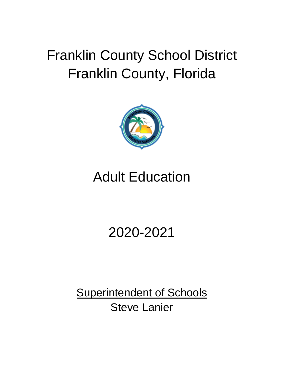# Franklin County School District Franklin County, Florida



# Adult Education

# 2020-2021

**Superintendent of Schools** Steve Lanier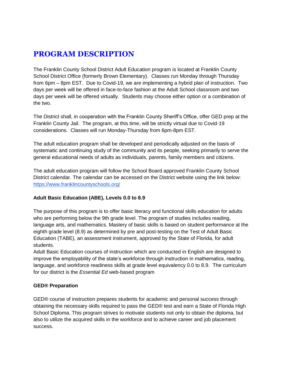# **PROGRAM DESCRIPTION**

The Franklin County School District Adult Education program is located at Franklin County School District Office (formerly Brown Elementary). Classes run Monday through Thursday from 6pm – 8pm EST. Due to Covid-19, we are implementing a hybrid plan of instruction. Two days per week will be offered in face-to-face fashion at the Adult School classroom and two days per week will be offered virtually. Students may choose either option or a combination of the two.

The District shall, in cooperation with the Franklin County Sheriff's Office, offer GED prep at the Franklin County Jail. The program, at this time, will be strictly virtual due to Covid-19 considerations. Classes will run Monday-Thursday from 6pm-8pm EST.

The adult education program shall be developed and periodically adjusted on the basis of systematic and continuing study of the community and its people, seeking primarily to serve the general educational needs of adults as individuals, parents, family members and citizens.

The adult education program will follow the School Board approved Franklin County School District calendar. The calendar can be accessed on the District website using the link below: <https://www.franklincountyschools.org/>

#### **Adult Basic Education (ABE), Levels 0.0 to 8.9**

The purpose of this program is to offer basic literacy and functional skills education for adults who are performing below the 9th grade level. The program of studies includes reading, language arts, and mathematics. Mastery of basic skills is based on student performance at the eighth grade level (8.9) as determined by pre and post-testing on the Test of Adult Basic Education (TABE), an assessment instrument, approved by the State of Florida, for adult students.

Adult Basic Education courses of instruction which are conducted in English are designed to improve the employability of the state's workforce through instruction in mathematics, reading, language, and workforce readiness skills at grade level equivalency 0.0 to 8.9. The curriculum for our district is the *Essential Ed* web-based program

#### **GED® Preparation**

GED® course of instruction prepares students for academic and personal success through obtaining the necessary skills required to pass the GED® test and earn a State of Florida High School Diploma. This program strives to motivate students not only to obtain the diploma, but also to utilize the acquired skills in the workforce and to achieve career and job placement success.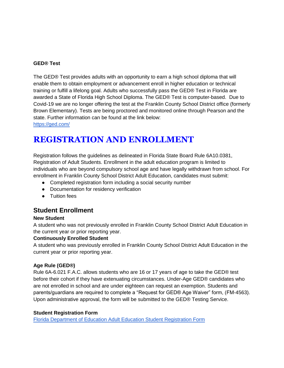#### **GED® Test**

The GED® Test provides adults with an opportunity to earn a high school diploma that will enable them to obtain employment or advancement enroll in higher education or technical training or fulfill a lifelong goal. Adults who successfully pass the GED® Test in Florida are awarded a State of Florida High School Diploma. The GED® Test is computer-based. Due to Covid-19 we are no longer offering the test at the Franklin County School District office (formerly Brown Elementary). Tests are being proctored and monitored online through Pearson and the state. Further information can be found at the link below:

<https://ged.com/>

# **REGISTRATION AND ENROLLMENT**

Registration follows the guidelines as delineated in Florida State Board Rule 6A10.0381, Registration of Adult Students. Enrollment in the adult education program is limited to individuals who are beyond compulsory school age and have legally withdrawn from school. For enrollment in Franklin County School District Adult Education, candidates must submit:

- Completed registration form including a social security number
- Documentation for residency verification
- Tuition fees

## **Student Enrollment**

#### **New Student**

A student who was not previously enrolled in Franklin County School District Adult Education in the current year or prior reporting year.

#### **Continuously Enrolled Student**

A student who was previously enrolled in Franklin County School District Adult Education in the current year or prior reporting year.

#### **Age Rule (GED®)**

Rule 6A-6.021 F.A.C. allows students who are 16 or 17 years of age to take the GED® test before their cohort if they have extenuating circumstances. Under-Age GED® candidates who are not enrolled in school and are under eighteen can request an exemption. Students and parents/guardians are required to complete a "Request for GED® Age Waiver" form, (FM-4563). Upon administrative approval, the form will be submitted to the GED® Testing Service.

#### **Student Registration Form**

[Florida Department of Education Adult Education Student Registration Form](http://www.fldoe.org/core/fileparse.php/7522/urlt/StudentDataSummaryForm.pdf)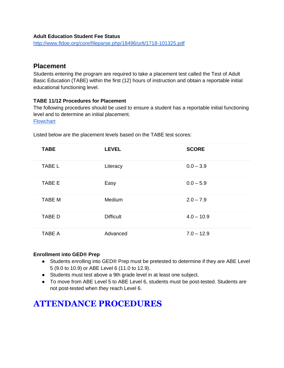#### **Adult Education Student Fee Status**

<http://www.fldoe.org/core/fileparse.php/18496/urlt/1718-101325.pdf>

### **Placement**

Students entering the program are required to take a placement test called the Test of Adult Basic Education (TABE) within the first (12) hours of instruction and obtain a reportable initial educational functioning level.

#### **TABE 11/12 Procedures for Placement**

The following procedures should be used to ensure a student has a reportable initial functioning level and to determine an initial placement.

**[Flowchart](http://www.fldoe.org/core/fileparse.php/7522/urlt/TABE1112-IPFC.pdf)** 

| <b>TABE</b>   | <b>LEVEL</b>     | <b>SCORE</b> |
|---------------|------------------|--------------|
| <b>TABE L</b> | Literacy         | $0.0 - 3.9$  |
| <b>TABE E</b> | Easy             | $0.0 - 5.9$  |
| <b>TABE M</b> | Medium           | $2.0 - 7.9$  |
| <b>TABE D</b> | <b>Difficult</b> | $4.0 - 10.9$ |
| <b>TABE A</b> | Advanced         | $7.0 - 12.9$ |

Listed below are the placement levels based on the TABE test scores:

#### **Enrollment into GED® Prep**

- Students enrolling into GED® Prep must be pretested to determine if they are ABE Level 5 (9.0 to 10.9) or ABE Level 6 (11.0 to 12.9).
- Students must test above a 9th grade level in at least one subject.
- To move from ABE Level 5 to ABE Level 6, students must be post-tested. Students are not post-tested when they reach Level 6.

# **ATTENDANCE PROCEDURES**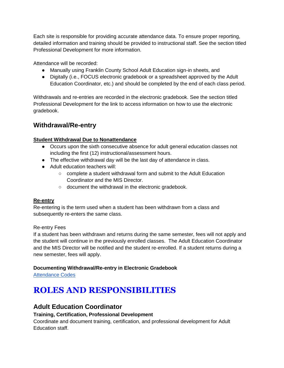Each site is responsible for providing accurate attendance data. To ensure proper reporting, detailed information and training should be provided to instructional staff. See the section titled Professional Development for more information.

Attendance will be recorded:

- Manually using Franklin County School Adult Education sign-in sheets, and
- Digitally (i.e., FOCUS electronic gradebook or a spreadsheet approved by the Adult Education Coordinator, etc.) and should be completed by the end of each class period.

Withdrawals and re-entries are recorded in the electronic gradebook. See the section titled Professional Development for the link to access information on how to use the electronic gradebook.

## **Withdrawal/Re-entry**

#### **Student Withdrawal Due to Nonattendance**

- Occurs upon the sixth consecutive absence for adult general education classes not including the first (12) instructional/assessment hours.
- The effective withdrawal day will be the last day of attendance in class.
- Adult education teachers will:
	- complete a student withdrawal form and submit to the Adult Education Coordinator and the MIS Director.
	- document the withdrawal in the electronic gradebook.

#### **Re-entry**

Re-entering is the term used when a student has been withdrawn from a class and subsequently re-enters the same class.

#### Re-entry Fees

If a student has been withdrawn and returns during the same semester, fees will not apply and the student will continue in the previously enrolled classes. The Adult Education Coordinator and the MIS Director will be notified and the student re-enrolled. If a student returns during a new semester, fees will apply.

#### **Documenting Withdrawal/Re-entry in Electronic Gradebook**

[Attendance Codes](http://www.fldoe.org/core/fileparse.php/8861/urlt/0094063-appendb.pdf)

# **ROLES AND RESPONSIBILITIES**

## **Adult Education Coordinator**

#### **Training, Certification, Professional Development**

Coordinate and document training, certification, and professional development for Adult Education staff.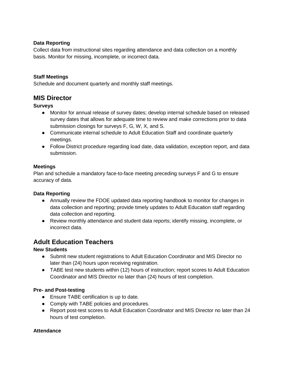#### **Data Reporting**

Collect data from instructional sites regarding attendance and data collection on a monthly basis. Monitor for missing, incomplete, or incorrect data.

#### **Staff Meetings**

Schedule and document quarterly and monthly staff meetings.

#### **MIS Director**

**Surveys**

- Monitor for annual release of survey dates; develop internal schedule based on released survey dates that allows for adequate time to review and make corrections prior to data submission closings for surveys F, G, W, X, and S.
- Communicate internal schedule to Adult Education Staff and coordinate quarterly meetings.
- Follow District procedure regarding load date, data validation, exception report, and data submission.

#### **Meetings**

Plan and schedule a mandatory face-to-face meeting preceding surveys F and G to ensure accuracy of data.

#### **Data Reporting**

- Annually review the FDOE updated data reporting handbook to monitor for changes in data collection and reporting; provide timely updates to Adult Education staff regarding data collection and reporting.
- Review monthly attendance and student data reports; identify missing, incomplete, or incorrect data.

### **Adult Education Teachers**

#### **New Students**

- Submit new student registrations to Adult Education Coordinator and MIS Director no later than (24) hours upon receiving registration.
- TABE test new students within (12) hours of instruction; report scores to Adult Education Coordinator and MIS Director no later than (24) hours of test completion.

#### **Pre- and Post-testing**

- Ensure TABE certification is up to date.
- Comply with TABE policies and procedures.
- Report post-test scores to Adult Education Coordinator and MIS Director no later than 24 hours of test completion.

#### **Attendance**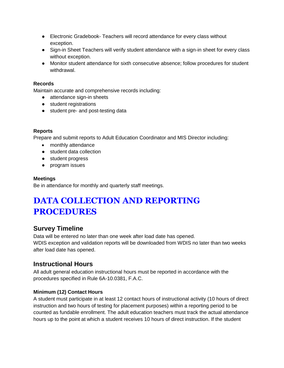- Electronic Gradebook- Teachers will record attendance for every class without exception.
- Sign-in Sheet Teachers will verify student attendance with a sign-in sheet for every class without exception.
- Monitor student attendance for sixth consecutive absence; follow procedures for student withdrawal.

#### **Records**

Maintain accurate and comprehensive records including:

- attendance sign-in sheets
- student registrations
- student pre- and post-testing data

#### **Reports**

Prepare and submit reports to Adult Education Coordinator and MIS Director including:

- monthly attendance
- student data collection
- student progress
- program issues

#### **Meetings**

Be in attendance for monthly and quarterly staff meetings.

# **DATA COLLECTION AND REPORTING PROCEDURES**

## **Survey Timeline**

Data will be entered no later than one week after load date has opened. WDIS exception and validation reports will be downloaded from WDIS no later than two weeks after load date has opened.

## **Instructional Hours**

All adult general education instructional hours must be reported in accordance with the procedures specified in Rule 6A-10.0381, F.A.C.

#### **Minimum (12) Contact Hours**

A student must participate in at least 12 contact hours of instructional activity (10 hours of direct instruction and two hours of testing for placement purposes) within a reporting period to be counted as fundable enrollment. The adult education teachers must track the actual attendance hours up to the point at which a student receives 10 hours of direct instruction. If the student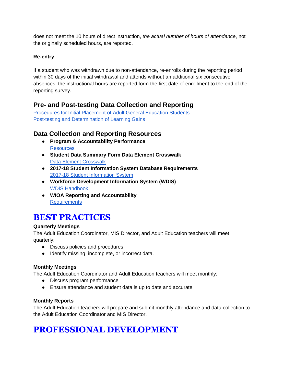does not meet the 10 hours of direct instruction, *the actual number of hours of attendance*, not the originally scheduled hours, are reported.

#### **Re-entry**

If a student who was withdrawn due to non-attendance, re-enrolls during the reporting period within 30 days of the initial withdrawal and attends without an additional six consecutive absences, the instructional hours are reported form the first date of enrollment to the end of the reporting survey.

## **Pre- and Post-testing Data Collection and Reporting**

[Procedures for Initial Placement of Adult General Education Students](http://www.fldoe.org/core/fileparse.php/7522/urlt/TABE1112-IPFC.pdf) [Post-testing and Determination of Learning Gains](http://www.fldoe.org/core/fileparse.php/7522/urlt/TABE1112-PosttestLCPFC.pdf)

## **Data Collection and Reporting Resources**

- **Program & Accountability Performance [Resources](http://www.fldoe.org/academics/career-adult-edu/adult-edu/resources.stml)**
- **Student Data Summary Form Data Element Crosswalk** [Data Element Crosswalk](http://www.fldoe.org/core/fileparse.php/7522/urlt/StudentDataSummaryForm-DataElementCrosswalk.pdf)
- **2017-18 Student Information System Database Requirements** [2017-18 Student Information System](http://www.fldoe.org/accountability/data-sys/database-manuals-updates/2017-18-student-info-system/)
- **Workforce Development Information System (WDIS)** [WDIS Handbook](http://www.fldoe.org/accountability/data-sys/CCTCMIS/dcae-dis/WDIS-handbooks.stml)
- **WIOA Reporting and Accountability [Requirements](http://www.fldoe.org/core/fileparse.php/7515/urlt/WIOA-RA-Req.pdf)**

# **BEST PRACTICES**

#### **Quarterly Meetings**

The Adult Education Coordinator, MIS Director, and Adult Education teachers will meet quarterly:

- Discuss policies and procedures
- Identify missing, incomplete, or incorrect data.

#### **Monthly Meetings**

The Adult Education Coordinator and Adult Education teachers will meet monthly:

- Discuss program performance
- Ensure attendance and student data is up to date and accurate

#### **Monthly Reports**

The Adult Education teachers will prepare and submit monthly attendance and data collection to the Adult Education Coordinator and MIS Director.

# **PROFESSIONAL DEVELOPMENT**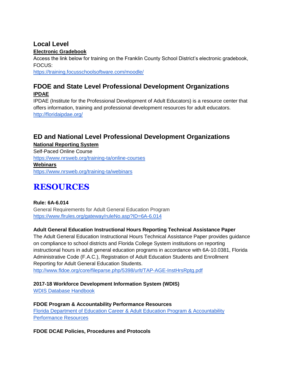#### **Local Level Electronic Gradebook**

Access the link below for training on the Franklin County School District's electronic gradebook, FOCUS:

<https://training.focusschoolsoftware.com/moodle/>

## **FDOE and State Level Professional Development Organizations IPDAE**

IPDAE (Institute for the Professional Development of Adult Educators) is a resource center that offers information, training and professional development resources for adult educators. <http://floridaipdae.org/>

## **ED and National Level Professional Development Organizations**

**National Reporting System** Self-Paced Online Course <https://www.nrsweb.org/training-ta/online-courses> **Webinars** <https://www.nrsweb.org/training-ta/webinars>

# **RESOURCES**

**Rule: 6A-6.014**  General Requirements for Adult General Education Program <https://www.flrules.org/gateway/ruleNo.asp?ID=6A-6.014>

#### **Adult General Education Instructional Hours Reporting Technical Assistance Paper**

The Adult General Education Instructional Hours Technical Assistance Paper provides guidance on compliance to school districts and Florida College System institutions on reporting instructional hours in adult general education programs in accordance with 6A-10.0381, Florida Administrative Code (F.A.C.), Registration of Adult Education Students and Enrollment Reporting for Adult General Education Students. <http://www.fldoe.org/core/fileparse.php/5398/urlt/TAP-AGE-InstHrsRptg.pdf>

**2017-18 Workforce Development Information System (WDIS)**

[WDIS Database Handbook](http://www.fldoe.org/accountability/data-sys/CCTCMIS/dcae-dis/1718-WDIS/index.stml)

**FDOE Program & Accountability Performance Resources** [Florida Department of Education Career & Adult Education Program & Accountability](http://www.fldoe.org/academics/career-adult-edu/adult-edu/resources.stml)  [Performance Resources](http://www.fldoe.org/academics/career-adult-edu/adult-edu/resources.stml)

**FDOE DCAE Policies, Procedures and Protocols**